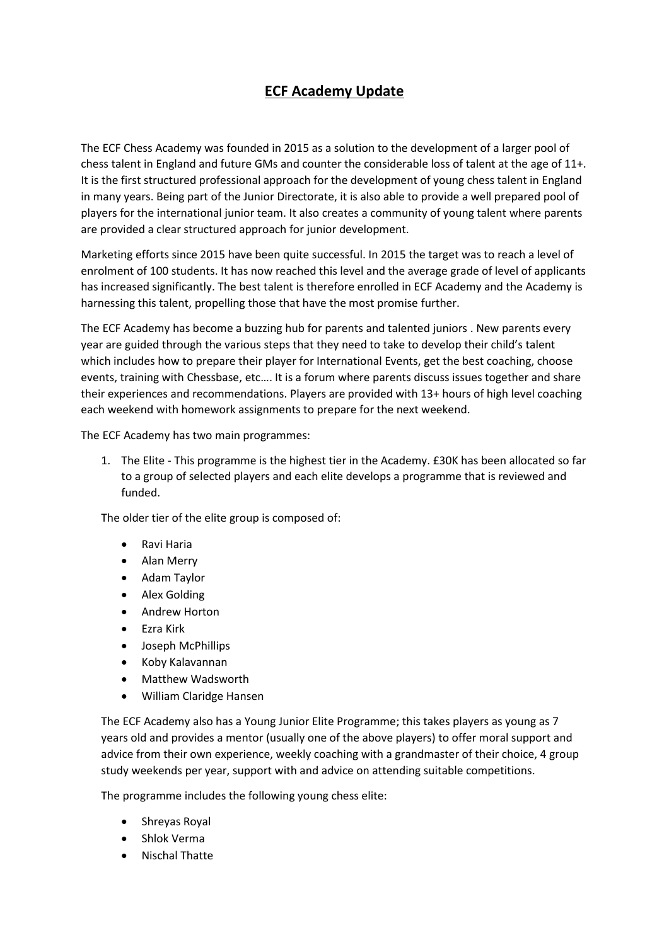## **ECF Academy Update**

The ECF Chess Academy was founded in 2015 as a solution to the development of a larger pool of chess talent in England and future GMs and counter the considerable loss of talent at the age of 11+. It is the first structured professional approach for the development of young chess talent in England in many years. Being part of the Junior Directorate, it is also able to provide a well prepared pool of players for the international junior team. It also creates a community of young talent where parents are provided a clear structured approach for junior development.

Marketing efforts since 2015 have been quite successful. In 2015 the target was to reach a level of enrolment of 100 students. It has now reached this level and the average grade of level of applicants has increased significantly. The best talent is therefore enrolled in ECF Academy and the Academy is harnessing this talent, propelling those that have the most promise further.

The ECF Academy has become a buzzing hub for parents and talented juniors . New parents every year are guided through the various steps that they need to take to develop their child's talent which includes how to prepare their player for International Events, get the best coaching, choose events, training with Chessbase, etc…. It is a forum where parents discuss issues together and share their experiences and recommendations. Players are provided with 13+ hours of high level coaching each weekend with homework assignments to prepare for the next weekend.

The ECF Academy has two main programmes:

1. The Elite - This programme is the highest tier in the Academy. £30K has been allocated so far to a group of selected players and each elite develops a programme that is reviewed and funded.

The older tier of the elite group is composed of:

- Ravi Haria
- Alan Merry
- Adam Taylor
- Alex Golding
- Andrew Horton
- Ezra Kirk
- Joseph McPhillips
- Koby Kalavannan
- Matthew Wadsworth
- William Claridge Hansen

The ECF Academy also has a Young Junior Elite Programme; this takes players as young as 7 years old and provides a mentor (usually one of the above players) to offer moral support and advice from their own experience, weekly coaching with a grandmaster of their choice, 4 group study weekends per year, support with and advice on attending suitable competitions.

The programme includes the following young chess elite:

- Shreyas Royal
- Shlok Verma
- Nischal Thatte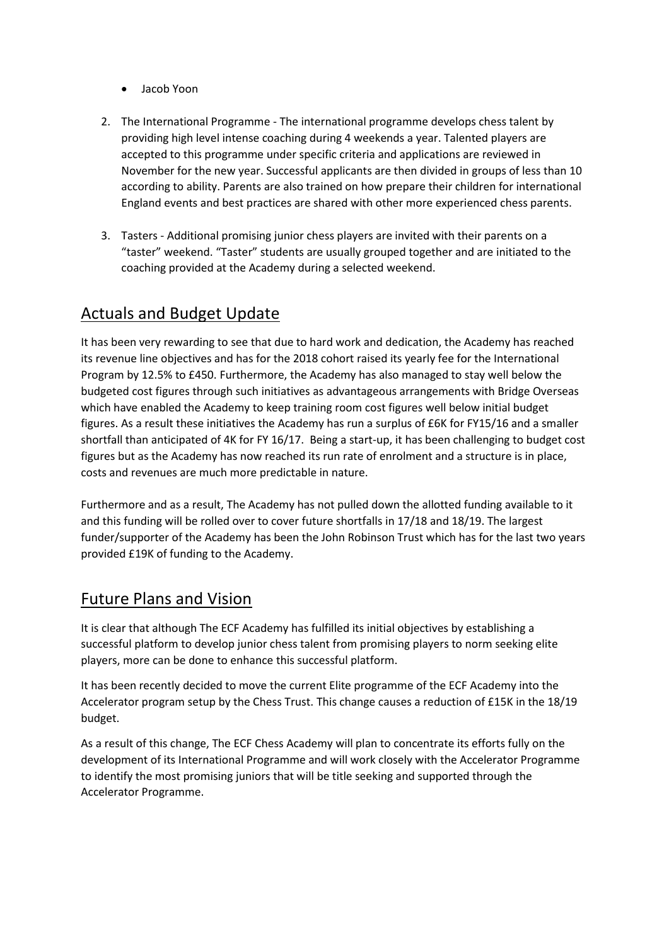- Jacob Yoon
- 2. The International Programme The international programme develops chess talent by providing high level intense coaching during 4 weekends a year. Talented players are accepted to this programme under specific criteria and applications are reviewed in November for the new year. Successful applicants are then divided in groups of less than 10 according to ability. Parents are also trained on how prepare their children for international England events and best practices are shared with other more experienced chess parents.
- 3. Tasters Additional promising junior chess players are invited with their parents on a "taster" weekend. "Taster" students are usually grouped together and are initiated to the coaching provided at the Academy during a selected weekend.

## Actuals and Budget Update

It has been very rewarding to see that due to hard work and dedication, the Academy has reached its revenue line objectives and has for the 2018 cohort raised its yearly fee for the International Program by 12.5% to £450. Furthermore, the Academy has also managed to stay well below the budgeted cost figures through such initiatives as advantageous arrangements with Bridge Overseas which have enabled the Academy to keep training room cost figures well below initial budget figures. As a result these initiatives the Academy has run a surplus of £6K for FY15/16 and a smaller shortfall than anticipated of 4K for FY 16/17. Being a start-up, it has been challenging to budget cost figures but as the Academy has now reached its run rate of enrolment and a structure is in place, costs and revenues are much more predictable in nature.

Furthermore and as a result, The Academy has not pulled down the allotted funding available to it and this funding will be rolled over to cover future shortfalls in 17/18 and 18/19. The largest funder/supporter of the Academy has been the John Robinson Trust which has for the last two years provided £19K of funding to the Academy.

## Future Plans and Vision

It is clear that although The ECF Academy has fulfilled its initial objectives by establishing a successful platform to develop junior chess talent from promising players to norm seeking elite players, more can be done to enhance this successful platform.

It has been recently decided to move the current Elite programme of the ECF Academy into the Accelerator program setup by the Chess Trust. This change causes a reduction of £15K in the 18/19 budget.

As a result of this change, The ECF Chess Academy will plan to concentrate its efforts fully on the development of its International Programme and will work closely with the Accelerator Programme to identify the most promising juniors that will be title seeking and supported through the Accelerator Programme.